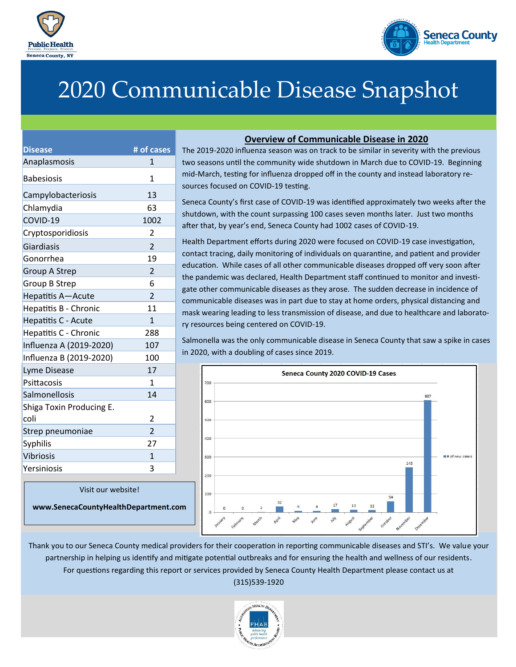



# 2020 Communicable Disease Snapshot

| <b>Disease</b>           | # of cases               |
|--------------------------|--------------------------|
| Anaplasmosis             | $\mathbf{1}$             |
| <b>Babesiosis</b>        | 1                        |
| Campylobacteriosis       | 13                       |
| Chlamydia                | 63                       |
| COVID-19                 | 1002                     |
| Cryptosporidiosis        | 2                        |
| <b>Giardiasis</b>        | $\overline{\mathcal{L}}$ |
| Gonorrhea                | 19                       |
| <b>Group A Strep</b>     | $\overline{2}$           |
| <b>Group B Strep</b>     | 6                        |
| Hepatitis A-Acute        | $\overline{2}$           |
| Hepatitis B - Chronic    | 11                       |
| Hepatitis C - Acute      | $\mathbf{1}$             |
| Hepatitis C - Chronic    | 288                      |
| Influenza A (2019-2020)  | 107                      |
| Influenza B (2019-2020)  | 100                      |
| Lyme Disease             | 17                       |
| Psittacosis              | 1                        |
| Salmonellosis            | 14                       |
| Shiga Toxin Producing E. |                          |
| coli                     | 2                        |
| Strep pneumoniae         | $\overline{2}$           |
| Syphilis                 | 27                       |
| <b>Vibriosis</b>         | $\mathbf{1}$             |
| Yersiniosis              | 3                        |

Visit our website!

**www.SenecaCountyHealthDepartment.com**

## **Overview of Communicable Disease in 2020**

The 2019-2020 influenza season was on track to be similar in severity with the previous two seasons until the community wide shutdown in March due to COVID-19. Beginning mid-March, testing for influenza dropped off in the county and instead laboratory resources focused on COVID-19 testing.

Seneca County's first case of COVID-19 was identified approximately two weeks after the shutdown, with the count surpassing 100 cases seven months later. Just two months after that, by year's end, Seneca County had 1002 cases of COVID-19.

Health Department efforts during 2020 were focused on COVID-19 case investigation, contact tracing, daily monitoring of individuals on quarantine, and patient and provider education. While cases of all other communicable diseases dropped off very soon after the pandemic was declared, Health Department staff continued to monitor and investigate other communicable diseases as they arose. The sudden decrease in incidence of communicable diseases was in part due to stay at home orders, physical distancing and mask wearing leading to less transmission of disease, and due to healthcare and laboratory resources being centered on COVID-19.

Salmonella was the only communicable disease in Seneca County that saw a spike in cases in 2020, with a doubling of cases since 2019.



Thank you to our Seneca County medical providers for their cooperation in reporting communicable diseases and STI's. We value your partnership in helping us identify and mitigate potential outbreaks and for ensuring the health and wellness of our residents. For questions regarding this report or services provided by Seneca County Health Department please contact us at (315)539-1920